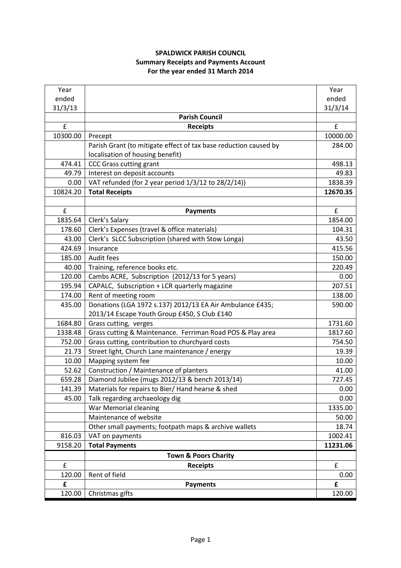## **SPALDWICK PARISH COUNCIL Summary Receipts and Payments Account For the year ended 31 March 2014**

| Year     |                                                                  | Year               |
|----------|------------------------------------------------------------------|--------------------|
| ended    |                                                                  | ended              |
| 31/3/13  |                                                                  | 31/3/14            |
|          | <b>Parish Council</b>                                            |                    |
| £        | <b>Receipts</b>                                                  | £                  |
| 10300.00 | Precept                                                          | 10000.00           |
|          | Parish Grant (to mitigate effect of tax base reduction caused by | 284.00             |
|          | localisation of housing benefit)                                 |                    |
| 474.41   | <b>CCC Grass cutting grant</b>                                   | 498.13             |
| 49.79    | Interest on deposit accounts                                     | 49.83              |
| 0.00     | VAT refunded (for 2 year period 1/3/12 to 28/2/14))              | 1838.39            |
| 10824.20 | <b>Total Receipts</b>                                            | 12670.35           |
|          |                                                                  |                    |
| £        | <b>Payments</b>                                                  | £                  |
| 1835.64  | Clerk's Salary                                                   | 1854.00            |
| 178.60   | Clerk's Expenses (travel & office materials)                     | 104.31             |
| 43.00    | Clerk's SLCC Subscription (shared with Stow Longa)               | 43.50              |
| 424.69   | Insurance                                                        | 415.56             |
| 185.00   | Audit fees                                                       | 150.00             |
| 40.00    | Training, reference books etc.                                   | 220.49             |
| 120.00   | Cambs ACRE, Subscription (2012/13 for 5 years)                   | 0.00               |
| 195.94   | CAPALC, Subscription + LCR quarterly magazine                    | 207.51             |
| 174.00   | Rent of meeting room                                             | 138.00             |
| 435.00   | Donations (LGA 1972 s.137) 2012/13 EA Air Ambulance £435;        | 590.00             |
|          | 2013/14 Escape Youth Group £450, S Club £140                     |                    |
| 1684.80  | Grass cutting, verges                                            | 1731.60            |
| 1338.48  | Grass cutting & Maintenance. Ferriman Road POS & Play area       | 1817.60            |
| 752.00   | Grass cutting, contribution to churchyard costs                  | 754.50             |
| 21.73    | Street light, Church Lane maintenance / energy                   | 19.39              |
| 10.00    | Mapping system fee                                               | 10.00              |
| 52.62    | Construction / Maintenance of planters                           | 41.00              |
| 659.28   | Diamond Jubilee (mugs 2012/13 & bench 2013/14)                   | 727.45             |
| 141.39   | Materials for repairs to Bier/ Hand hearse & shed                | 0.00               |
| 45.00    | Talk regarding archaeology dig                                   | 0.00               |
|          | War Memorial cleaning                                            | 1335.00            |
|          | Maintenance of website                                           | 50.00              |
|          | Other small payments; footpath maps & archive wallets            | 18.74              |
| 816.03   | VAT on payments                                                  | 1002.41            |
| 9158.20  | <b>Total Payments</b>                                            | 11231.06           |
|          | <b>Town &amp; Poors Charity</b>                                  |                    |
| £        | <b>Receipts</b>                                                  | $\pmb{\mathsf{f}}$ |
| 120.00   | Rent of field                                                    | 0.00               |
| £        | <b>Payments</b>                                                  | £                  |
| 120.00   | Christmas gifts                                                  | 120.00             |